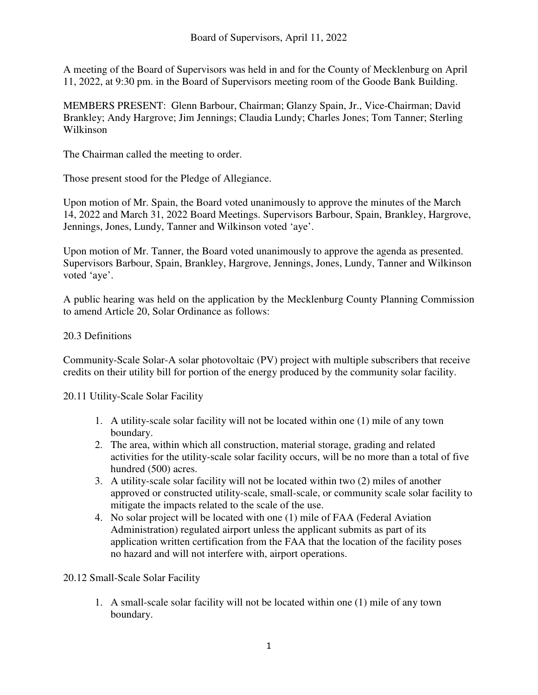A meeting of the Board of Supervisors was held in and for the County of Mecklenburg on April 11, 2022, at 9:30 pm. in the Board of Supervisors meeting room of the Goode Bank Building.

MEMBERS PRESENT: Glenn Barbour, Chairman; Glanzy Spain, Jr., Vice-Chairman; David Brankley; Andy Hargrove; Jim Jennings; Claudia Lundy; Charles Jones; Tom Tanner; Sterling Wilkinson

The Chairman called the meeting to order.

Those present stood for the Pledge of Allegiance.

Upon motion of Mr. Spain, the Board voted unanimously to approve the minutes of the March 14, 2022 and March 31, 2022 Board Meetings. Supervisors Barbour, Spain, Brankley, Hargrove, Jennings, Jones, Lundy, Tanner and Wilkinson voted 'aye'.

Upon motion of Mr. Tanner, the Board voted unanimously to approve the agenda as presented. Supervisors Barbour, Spain, Brankley, Hargrove, Jennings, Jones, Lundy, Tanner and Wilkinson voted 'aye'.

A public hearing was held on the application by the Mecklenburg County Planning Commission to amend Article 20, Solar Ordinance as follows:

# 20.3 Definitions

Community-Scale Solar-A solar photovoltaic (PV) project with multiple subscribers that receive credits on their utility bill for portion of the energy produced by the community solar facility.

20.11 Utility-Scale Solar Facility

- 1. A utility-scale solar facility will not be located within one (1) mile of any town boundary.
- 2. The area, within which all construction, material storage, grading and related activities for the utility-scale solar facility occurs, will be no more than a total of five hundred (500) acres.
- 3. A utility-scale solar facility will not be located within two (2) miles of another approved or constructed utility-scale, small-scale, or community scale solar facility to mitigate the impacts related to the scale of the use.
- 4. No solar project will be located with one (1) mile of FAA (Federal Aviation Administration) regulated airport unless the applicant submits as part of its application written certification from the FAA that the location of the facility poses no hazard and will not interfere with, airport operations.

20.12 Small-Scale Solar Facility

1. A small-scale solar facility will not be located within one (1) mile of any town boundary.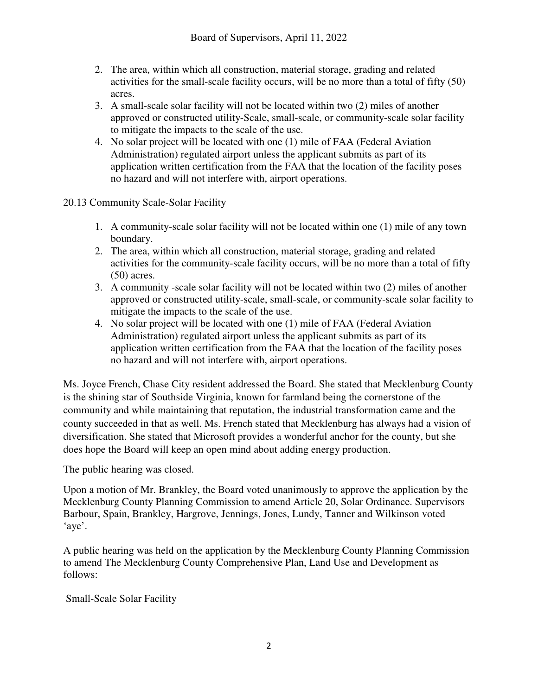- 2. The area, within which all construction, material storage, grading and related activities for the small-scale facility occurs, will be no more than a total of fifty (50) acres.
- 3. A small-scale solar facility will not be located within two (2) miles of another approved or constructed utility-Scale, small-scale, or community-scale solar facility to mitigate the impacts to the scale of the use.
- 4. No solar project will be located with one (1) mile of FAA (Federal Aviation Administration) regulated airport unless the applicant submits as part of its application written certification from the FAA that the location of the facility poses no hazard and will not interfere with, airport operations.
- 20.13 Community Scale-Solar Facility
	- 1. A community-scale solar facility will not be located within one (1) mile of any town boundary.
	- 2. The area, within which all construction, material storage, grading and related activities for the community-scale facility occurs, will be no more than a total of fifty (50) acres.
	- 3. A community -scale solar facility will not be located within two (2) miles of another approved or constructed utility-scale, small-scale, or community-scale solar facility to mitigate the impacts to the scale of the use.
	- 4. No solar project will be located with one (1) mile of FAA (Federal Aviation Administration) regulated airport unless the applicant submits as part of its application written certification from the FAA that the location of the facility poses no hazard and will not interfere with, airport operations.

Ms. Joyce French, Chase City resident addressed the Board. She stated that Mecklenburg County is the shining star of Southside Virginia, known for farmland being the cornerstone of the community and while maintaining that reputation, the industrial transformation came and the county succeeded in that as well. Ms. French stated that Mecklenburg has always had a vision of diversification. She stated that Microsoft provides a wonderful anchor for the county, but she does hope the Board will keep an open mind about adding energy production.

The public hearing was closed.

Upon a motion of Mr. Brankley, the Board voted unanimously to approve the application by the Mecklenburg County Planning Commission to amend Article 20, Solar Ordinance. Supervisors Barbour, Spain, Brankley, Hargrove, Jennings, Jones, Lundy, Tanner and Wilkinson voted 'aye'.

A public hearing was held on the application by the Mecklenburg County Planning Commission to amend The Mecklenburg County Comprehensive Plan, Land Use and Development as follows:

Small-Scale Solar Facility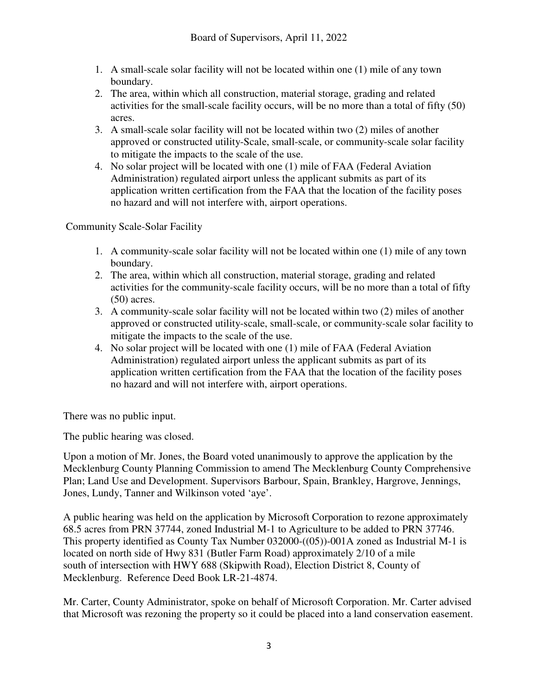- 1. A small-scale solar facility will not be located within one (1) mile of any town boundary.
- 2. The area, within which all construction, material storage, grading and related activities for the small-scale facility occurs, will be no more than a total of fifty (50) acres.
- 3. A small-scale solar facility will not be located within two (2) miles of another approved or constructed utility-Scale, small-scale, or community-scale solar facility to mitigate the impacts to the scale of the use.
- 4. No solar project will be located with one (1) mile of FAA (Federal Aviation Administration) regulated airport unless the applicant submits as part of its application written certification from the FAA that the location of the facility poses no hazard and will not interfere with, airport operations.

Community Scale-Solar Facility

- 1. A community-scale solar facility will not be located within one (1) mile of any town boundary.
- 2. The area, within which all construction, material storage, grading and related activities for the community-scale facility occurs, will be no more than a total of fifty (50) acres.
- 3. A community-scale solar facility will not be located within two (2) miles of another approved or constructed utility-scale, small-scale, or community-scale solar facility to mitigate the impacts to the scale of the use.
- 4. No solar project will be located with one (1) mile of FAA (Federal Aviation Administration) regulated airport unless the applicant submits as part of its application written certification from the FAA that the location of the facility poses no hazard and will not interfere with, airport operations.

There was no public input.

The public hearing was closed.

Upon a motion of Mr. Jones, the Board voted unanimously to approve the application by the Mecklenburg County Planning Commission to amend The Mecklenburg County Comprehensive Plan; Land Use and Development. Supervisors Barbour, Spain, Brankley, Hargrove, Jennings, Jones, Lundy, Tanner and Wilkinson voted 'aye'.

A public hearing was held on the application by Microsoft Corporation to rezone approximately 68.5 acres from PRN 37744, zoned Industrial M-1 to Agriculture to be added to PRN 37746. This property identified as County Tax Number 032000-((05))-001A zoned as Industrial M-1 is located on north side of Hwy 831 (Butler Farm Road) approximately 2/10 of a mile south of intersection with HWY 688 (Skipwith Road), Election District 8, County of Mecklenburg. Reference Deed Book LR-21-4874.

Mr. Carter, County Administrator, spoke on behalf of Microsoft Corporation. Mr. Carter advised that Microsoft was rezoning the property so it could be placed into a land conservation easement.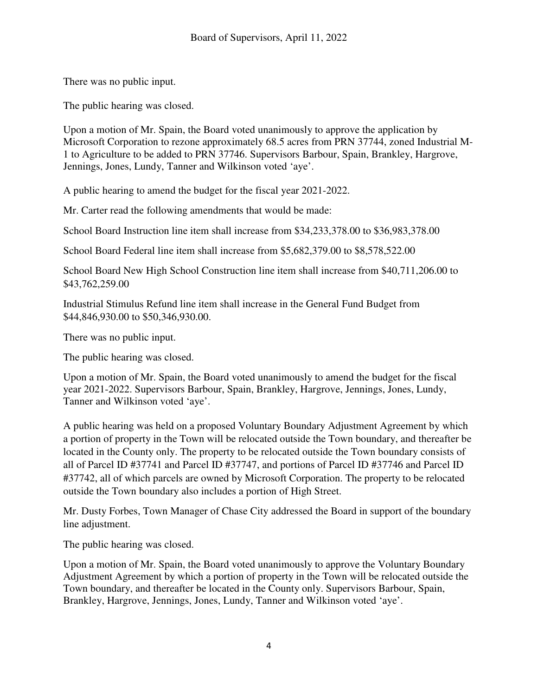There was no public input.

The public hearing was closed.

Upon a motion of Mr. Spain, the Board voted unanimously to approve the application by Microsoft Corporation to rezone approximately 68.5 acres from PRN 37744, zoned Industrial M-1 to Agriculture to be added to PRN 37746. Supervisors Barbour, Spain, Brankley, Hargrove, Jennings, Jones, Lundy, Tanner and Wilkinson voted 'aye'.

A public hearing to amend the budget for the fiscal year 2021-2022.

Mr. Carter read the following amendments that would be made:

School Board Instruction line item shall increase from \$34,233,378.00 to \$36,983,378.00

School Board Federal line item shall increase from \$5,682,379.00 to \$8,578,522.00

School Board New High School Construction line item shall increase from \$40,711,206.00 to \$43,762,259.00

Industrial Stimulus Refund line item shall increase in the General Fund Budget from \$44,846,930.00 to \$50,346,930.00.

There was no public input.

The public hearing was closed.

Upon a motion of Mr. Spain, the Board voted unanimously to amend the budget for the fiscal year 2021-2022. Supervisors Barbour, Spain, Brankley, Hargrove, Jennings, Jones, Lundy, Tanner and Wilkinson voted 'aye'.

A public hearing was held on a proposed Voluntary Boundary Adjustment Agreement by which a portion of property in the Town will be relocated outside the Town boundary, and thereafter be located in the County only. The property to be relocated outside the Town boundary consists of all of Parcel ID #37741 and Parcel ID #37747, and portions of Parcel ID #37746 and Parcel ID #37742, all of which parcels are owned by Microsoft Corporation. The property to be relocated outside the Town boundary also includes a portion of High Street.

Mr. Dusty Forbes, Town Manager of Chase City addressed the Board in support of the boundary line adjustment.

The public hearing was closed.

Upon a motion of Mr. Spain, the Board voted unanimously to approve the Voluntary Boundary Adjustment Agreement by which a portion of property in the Town will be relocated outside the Town boundary, and thereafter be located in the County only. Supervisors Barbour, Spain, Brankley, Hargrove, Jennings, Jones, Lundy, Tanner and Wilkinson voted 'aye'.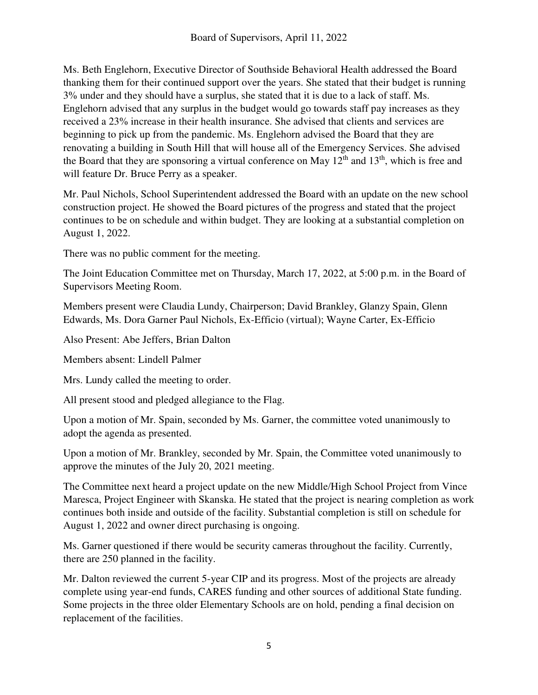Ms. Beth Englehorn, Executive Director of Southside Behavioral Health addressed the Board thanking them for their continued support over the years. She stated that their budget is running 3% under and they should have a surplus, she stated that it is due to a lack of staff. Ms. Englehorn advised that any surplus in the budget would go towards staff pay increases as they received a 23% increase in their health insurance. She advised that clients and services are beginning to pick up from the pandemic. Ms. Englehorn advised the Board that they are renovating a building in South Hill that will house all of the Emergency Services. She advised the Board that they are sponsoring a virtual conference on May  $12<sup>th</sup>$  and  $13<sup>th</sup>$ , which is free and will feature Dr. Bruce Perry as a speaker.

Mr. Paul Nichols, School Superintendent addressed the Board with an update on the new school construction project. He showed the Board pictures of the progress and stated that the project continues to be on schedule and within budget. They are looking at a substantial completion on August 1, 2022.

There was no public comment for the meeting.

The Joint Education Committee met on Thursday, March 17, 2022, at 5:00 p.m. in the Board of Supervisors Meeting Room.

Members present were Claudia Lundy, Chairperson; David Brankley, Glanzy Spain, Glenn Edwards, Ms. Dora Garner Paul Nichols, Ex-Efficio (virtual); Wayne Carter, Ex-Efficio

Also Present: Abe Jeffers, Brian Dalton

Members absent: Lindell Palmer

Mrs. Lundy called the meeting to order.

All present stood and pledged allegiance to the Flag.

Upon a motion of Mr. Spain, seconded by Ms. Garner, the committee voted unanimously to adopt the agenda as presented.

Upon a motion of Mr. Brankley, seconded by Mr. Spain, the Committee voted unanimously to approve the minutes of the July 20, 2021 meeting.

The Committee next heard a project update on the new Middle/High School Project from Vince Maresca, Project Engineer with Skanska. He stated that the project is nearing completion as work continues both inside and outside of the facility. Substantial completion is still on schedule for August 1, 2022 and owner direct purchasing is ongoing.

Ms. Garner questioned if there would be security cameras throughout the facility. Currently, there are 250 planned in the facility.

Mr. Dalton reviewed the current 5-year CIP and its progress. Most of the projects are already complete using year-end funds, CARES funding and other sources of additional State funding. Some projects in the three older Elementary Schools are on hold, pending a final decision on replacement of the facilities.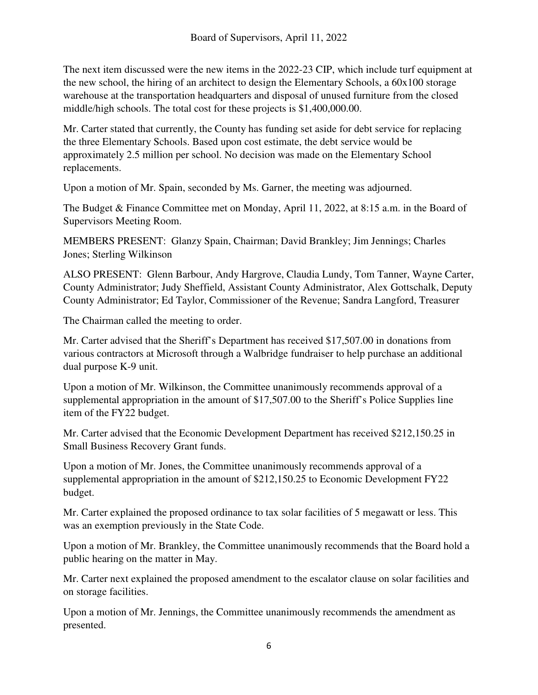The next item discussed were the new items in the 2022-23 CIP, which include turf equipment at the new school, the hiring of an architect to design the Elementary Schools, a 60x100 storage warehouse at the transportation headquarters and disposal of unused furniture from the closed middle/high schools. The total cost for these projects is \$1,400,000.00.

Mr. Carter stated that currently, the County has funding set aside for debt service for replacing the three Elementary Schools. Based upon cost estimate, the debt service would be approximately 2.5 million per school. No decision was made on the Elementary School replacements.

Upon a motion of Mr. Spain, seconded by Ms. Garner, the meeting was adjourned.

The Budget & Finance Committee met on Monday, April 11, 2022, at 8:15 a.m. in the Board of Supervisors Meeting Room.

MEMBERS PRESENT: Glanzy Spain, Chairman; David Brankley; Jim Jennings; Charles Jones; Sterling Wilkinson

ALSO PRESENT: Glenn Barbour, Andy Hargrove, Claudia Lundy, Tom Tanner, Wayne Carter, County Administrator; Judy Sheffield, Assistant County Administrator, Alex Gottschalk, Deputy County Administrator; Ed Taylor, Commissioner of the Revenue; Sandra Langford, Treasurer

The Chairman called the meeting to order.

Mr. Carter advised that the Sheriff's Department has received \$17,507.00 in donations from various contractors at Microsoft through a Walbridge fundraiser to help purchase an additional dual purpose K-9 unit.

Upon a motion of Mr. Wilkinson, the Committee unanimously recommends approval of a supplemental appropriation in the amount of \$17,507.00 to the Sheriff's Police Supplies line item of the FY22 budget.

Mr. Carter advised that the Economic Development Department has received \$212,150.25 in Small Business Recovery Grant funds.

Upon a motion of Mr. Jones, the Committee unanimously recommends approval of a supplemental appropriation in the amount of \$212,150.25 to Economic Development FY22 budget.

Mr. Carter explained the proposed ordinance to tax solar facilities of 5 megawatt or less. This was an exemption previously in the State Code.

Upon a motion of Mr. Brankley, the Committee unanimously recommends that the Board hold a public hearing on the matter in May.

Mr. Carter next explained the proposed amendment to the escalator clause on solar facilities and on storage facilities.

Upon a motion of Mr. Jennings, the Committee unanimously recommends the amendment as presented.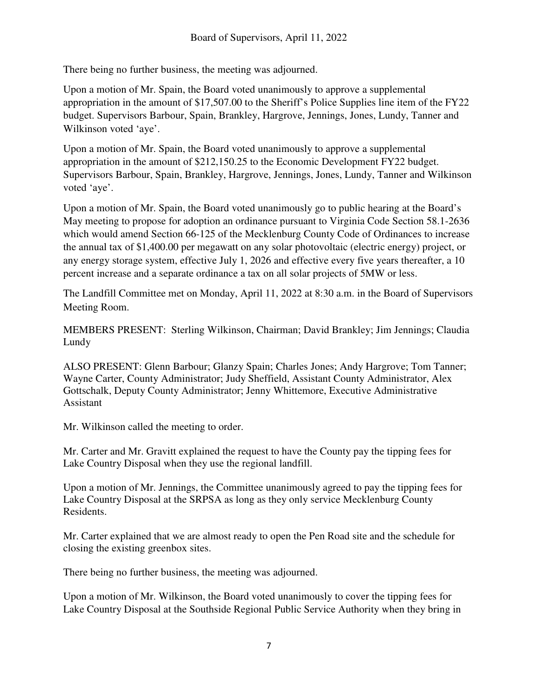There being no further business, the meeting was adjourned.

Upon a motion of Mr. Spain, the Board voted unanimously to approve a supplemental appropriation in the amount of \$17,507.00 to the Sheriff's Police Supplies line item of the FY22 budget. Supervisors Barbour, Spain, Brankley, Hargrove, Jennings, Jones, Lundy, Tanner and Wilkinson voted 'aye'.

Upon a motion of Mr. Spain, the Board voted unanimously to approve a supplemental appropriation in the amount of \$212,150.25 to the Economic Development FY22 budget. Supervisors Barbour, Spain, Brankley, Hargrove, Jennings, Jones, Lundy, Tanner and Wilkinson voted 'aye'.

Upon a motion of Mr. Spain, the Board voted unanimously go to public hearing at the Board's May meeting to propose for adoption an ordinance pursuant to Virginia Code Section 58.1-2636 which would amend Section 66-125 of the Mecklenburg County Code of Ordinances to increase the annual tax of \$1,400.00 per megawatt on any solar photovoltaic (electric energy) project, or any energy storage system, effective July 1, 2026 and effective every five years thereafter, a 10 percent increase and a separate ordinance a tax on all solar projects of 5MW or less.

The Landfill Committee met on Monday, April 11, 2022 at 8:30 a.m. in the Board of Supervisors Meeting Room.

MEMBERS PRESENT: Sterling Wilkinson, Chairman; David Brankley; Jim Jennings; Claudia Lundy

ALSO PRESENT: Glenn Barbour; Glanzy Spain; Charles Jones; Andy Hargrove; Tom Tanner; Wayne Carter, County Administrator; Judy Sheffield, Assistant County Administrator, Alex Gottschalk, Deputy County Administrator; Jenny Whittemore, Executive Administrative Assistant

Mr. Wilkinson called the meeting to order.

Mr. Carter and Mr. Gravitt explained the request to have the County pay the tipping fees for Lake Country Disposal when they use the regional landfill.

Upon a motion of Mr. Jennings, the Committee unanimously agreed to pay the tipping fees for Lake Country Disposal at the SRPSA as long as they only service Mecklenburg County Residents.

Mr. Carter explained that we are almost ready to open the Pen Road site and the schedule for closing the existing greenbox sites.

There being no further business, the meeting was adjourned.

Upon a motion of Mr. Wilkinson, the Board voted unanimously to cover the tipping fees for Lake Country Disposal at the Southside Regional Public Service Authority when they bring in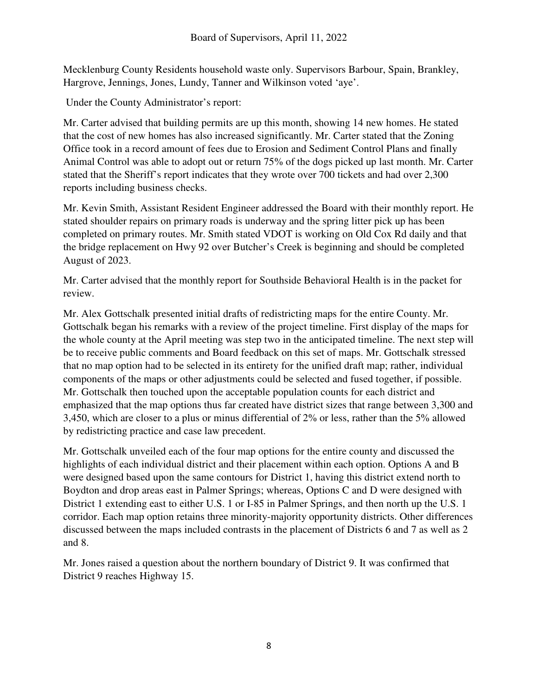Mecklenburg County Residents household waste only. Supervisors Barbour, Spain, Brankley, Hargrove, Jennings, Jones, Lundy, Tanner and Wilkinson voted 'aye'.

Under the County Administrator's report:

Mr. Carter advised that building permits are up this month, showing 14 new homes. He stated that the cost of new homes has also increased significantly. Mr. Carter stated that the Zoning Office took in a record amount of fees due to Erosion and Sediment Control Plans and finally Animal Control was able to adopt out or return 75% of the dogs picked up last month. Mr. Carter stated that the Sheriff's report indicates that they wrote over 700 tickets and had over 2,300 reports including business checks.

Mr. Kevin Smith, Assistant Resident Engineer addressed the Board with their monthly report. He stated shoulder repairs on primary roads is underway and the spring litter pick up has been completed on primary routes. Mr. Smith stated VDOT is working on Old Cox Rd daily and that the bridge replacement on Hwy 92 over Butcher's Creek is beginning and should be completed August of 2023.

Mr. Carter advised that the monthly report for Southside Behavioral Health is in the packet for review.

Mr. Alex Gottschalk presented initial drafts of redistricting maps for the entire County. Mr. Gottschalk began his remarks with a review of the project timeline. First display of the maps for the whole county at the April meeting was step two in the anticipated timeline. The next step will be to receive public comments and Board feedback on this set of maps. Mr. Gottschalk stressed that no map option had to be selected in its entirety for the unified draft map; rather, individual components of the maps or other adjustments could be selected and fused together, if possible. Mr. Gottschalk then touched upon the acceptable population counts for each district and emphasized that the map options thus far created have district sizes that range between 3,300 and 3,450, which are closer to a plus or minus differential of 2% or less, rather than the 5% allowed by redistricting practice and case law precedent.

Mr. Gottschalk unveiled each of the four map options for the entire county and discussed the highlights of each individual district and their placement within each option. Options A and B were designed based upon the same contours for District 1, having this district extend north to Boydton and drop areas east in Palmer Springs; whereas, Options C and D were designed with District 1 extending east to either U.S. 1 or I-85 in Palmer Springs, and then north up the U.S. 1 corridor. Each map option retains three minority-majority opportunity districts. Other differences discussed between the maps included contrasts in the placement of Districts 6 and 7 as well as 2 and 8.

Mr. Jones raised a question about the northern boundary of District 9. It was confirmed that District 9 reaches Highway 15.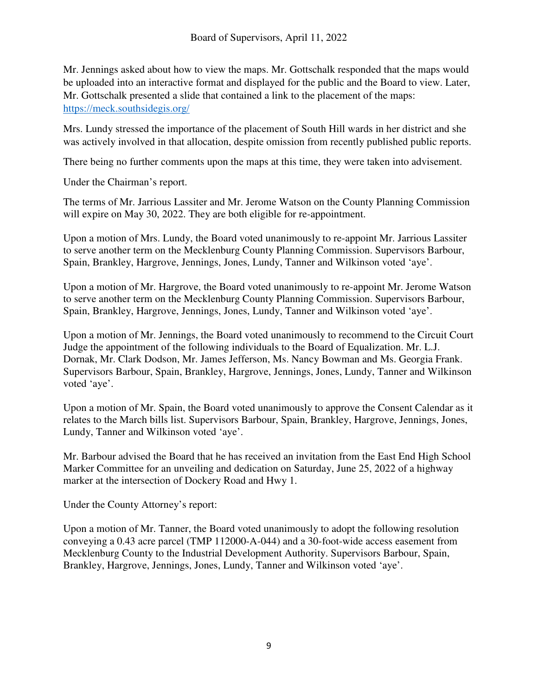Mr. Jennings asked about how to view the maps. Mr. Gottschalk responded that the maps would be uploaded into an interactive format and displayed for the public and the Board to view. Later, Mr. Gottschalk presented a slide that contained a link to the placement of the maps: https://meck.southsidegis.org/

Mrs. Lundy stressed the importance of the placement of South Hill wards in her district and she was actively involved in that allocation, despite omission from recently published public reports.

There being no further comments upon the maps at this time, they were taken into advisement.

Under the Chairman's report.

The terms of Mr. Jarrious Lassiter and Mr. Jerome Watson on the County Planning Commission will expire on May 30, 2022. They are both eligible for re-appointment.

Upon a motion of Mrs. Lundy, the Board voted unanimously to re-appoint Mr. Jarrious Lassiter to serve another term on the Mecklenburg County Planning Commission. Supervisors Barbour, Spain, Brankley, Hargrove, Jennings, Jones, Lundy, Tanner and Wilkinson voted 'aye'.

Upon a motion of Mr. Hargrove, the Board voted unanimously to re-appoint Mr. Jerome Watson to serve another term on the Mecklenburg County Planning Commission. Supervisors Barbour, Spain, Brankley, Hargrove, Jennings, Jones, Lundy, Tanner and Wilkinson voted 'aye'.

Upon a motion of Mr. Jennings, the Board voted unanimously to recommend to the Circuit Court Judge the appointment of the following individuals to the Board of Equalization. Mr. L.J. Dornak, Mr. Clark Dodson, Mr. James Jefferson, Ms. Nancy Bowman and Ms. Georgia Frank. Supervisors Barbour, Spain, Brankley, Hargrove, Jennings, Jones, Lundy, Tanner and Wilkinson voted 'aye'.

Upon a motion of Mr. Spain, the Board voted unanimously to approve the Consent Calendar as it relates to the March bills list. Supervisors Barbour, Spain, Brankley, Hargrove, Jennings, Jones, Lundy, Tanner and Wilkinson voted 'aye'.

Mr. Barbour advised the Board that he has received an invitation from the East End High School Marker Committee for an unveiling and dedication on Saturday, June 25, 2022 of a highway marker at the intersection of Dockery Road and Hwy 1.

Under the County Attorney's report:

Upon a motion of Mr. Tanner, the Board voted unanimously to adopt the following resolution conveying a 0.43 acre parcel (TMP 112000-A-044) and a 30-foot-wide access easement from Mecklenburg County to the Industrial Development Authority. Supervisors Barbour, Spain, Brankley, Hargrove, Jennings, Jones, Lundy, Tanner and Wilkinson voted 'aye'.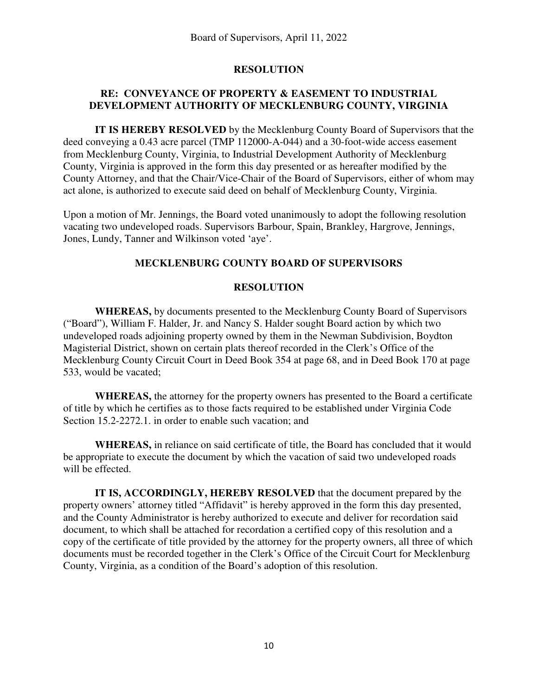# **RESOLUTION**

# **RE: CONVEYANCE OF PROPERTY & EASEMENT TO INDUSTRIAL DEVELOPMENT AUTHORITY OF MECKLENBURG COUNTY, VIRGINIA**

 **IT IS HEREBY RESOLVED** by the Mecklenburg County Board of Supervisors that the deed conveying a 0.43 acre parcel (TMP 112000-A-044) and a 30-foot-wide access easement from Mecklenburg County, Virginia, to Industrial Development Authority of Mecklenburg County, Virginia is approved in the form this day presented or as hereafter modified by the County Attorney, and that the Chair/Vice-Chair of the Board of Supervisors, either of whom may act alone, is authorized to execute said deed on behalf of Mecklenburg County, Virginia.

Upon a motion of Mr. Jennings, the Board voted unanimously to adopt the following resolution vacating two undeveloped roads. Supervisors Barbour, Spain, Brankley, Hargrove, Jennings, Jones, Lundy, Tanner and Wilkinson voted 'aye'.

#### **MECKLENBURG COUNTY BOARD OF SUPERVISORS**

# **RESOLUTION**

 **WHEREAS,** by documents presented to the Mecklenburg County Board of Supervisors ("Board"), William F. Halder, Jr. and Nancy S. Halder sought Board action by which two undeveloped roads adjoining property owned by them in the Newman Subdivision, Boydton Magisterial District, shown on certain plats thereof recorded in the Clerk's Office of the Mecklenburg County Circuit Court in Deed Book 354 at page 68, and in Deed Book 170 at page 533, would be vacated;

 **WHEREAS,** the attorney for the property owners has presented to the Board a certificate of title by which he certifies as to those facts required to be established under Virginia Code Section 15.2-2272.1. in order to enable such vacation; and

 **WHEREAS,** in reliance on said certificate of title, the Board has concluded that it would be appropriate to execute the document by which the vacation of said two undeveloped roads will be effected.

 **IT IS, ACCORDINGLY, HEREBY RESOLVED** that the document prepared by the property owners' attorney titled "Affidavit" is hereby approved in the form this day presented, and the County Administrator is hereby authorized to execute and deliver for recordation said document, to which shall be attached for recordation a certified copy of this resolution and a copy of the certificate of title provided by the attorney for the property owners, all three of which documents must be recorded together in the Clerk's Office of the Circuit Court for Mecklenburg County, Virginia, as a condition of the Board's adoption of this resolution.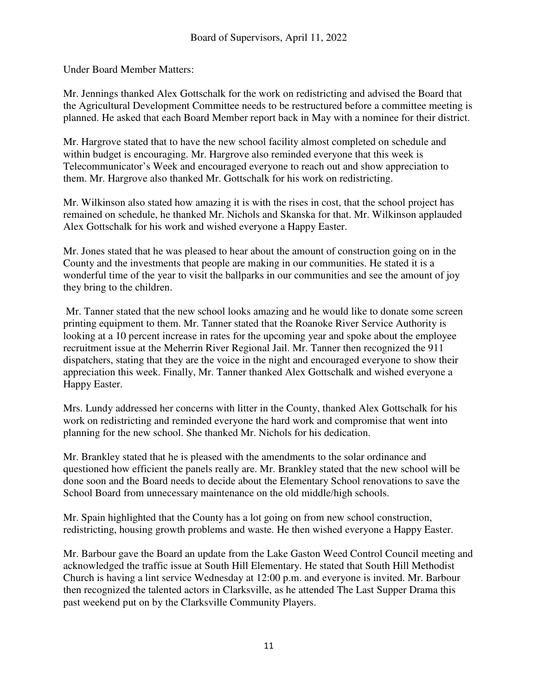Under Board Member Matters:

Mr. Jennings thanked Alex Gottschalk for the work on redistricting and advised the Board that the Agricultural Development Committee needs to be restructured before a committee meeting is planned. He asked that each Board Member report back in May with a nominee for their district.

Mr. Hargrove stated that to have the new school facility almost completed on schedule and within budget is encouraging. Mr. Hargrove also reminded everyone that this week is Telecommunicator's Week and encouraged everyone to reach out and show appreciation to them. Mr. Hargrove also thanked Mr. Gottschalk for his work on redistricting.

Mr. Wilkinson also stated how amazing it is with the rises in cost, that the school project has remained on schedule, he thanked Mr. Nichols and Skanska for that. Mr. Wilkinson applauded Alex Gottschalk for his work and wished everyone a Happy Easter.

Mr. Jones stated that he was pleased to hear about the amount of construction going on in the County and the investments that people are making in our communities. He stated it is a wonderful time of the year to visit the ballparks in our communities and see the amount of joy they bring to the children.

 Mr. Tanner stated that the new school looks amazing and he would like to donate some screen printing equipment to them. Mr. Tanner stated that the Roanoke River Service Authority is looking at a 10 percent increase in rates for the upcoming year and spoke about the employee recruitment issue at the Meherrin River Regional Jail. Mr. Tanner then recognized the 911 dispatchers, stating that they are the voice in the night and encouraged everyone to show their appreciation this week. Finally, Mr. Tanner thanked Alex Gottschalk and wished everyone a Happy Easter.

Mrs. Lundy addressed her concerns with litter in the County, thanked Alex Gottschalk for his work on redistricting and reminded everyone the hard work and compromise that went into planning for the new school. She thanked Mr. Nichols for his dedication.

Mr. Brankley stated that he is pleased with the amendments to the solar ordinance and questioned how efficient the panels really are. Mr. Brankley stated that the new school will be done soon and the Board needs to decide about the Elementary School renovations to save the School Board from unnecessary maintenance on the old middle/high schools.

Mr. Spain highlighted that the County has a lot going on from new school construction, redistricting, housing growth problems and waste. He then wished everyone a Happy Easter.

Mr. Barbour gave the Board an update from the Lake Gaston Weed Control Council meeting and acknowledged the traffic issue at South Hill Elementary. He stated that South Hill Methodist Church is having a lint service Wednesday at 12:00 p.m. and everyone is invited. Mr. Barbour then recognized the talented actors in Clarksville, as he attended The Last Supper Drama this past weekend put on by the Clarksville Community Players.